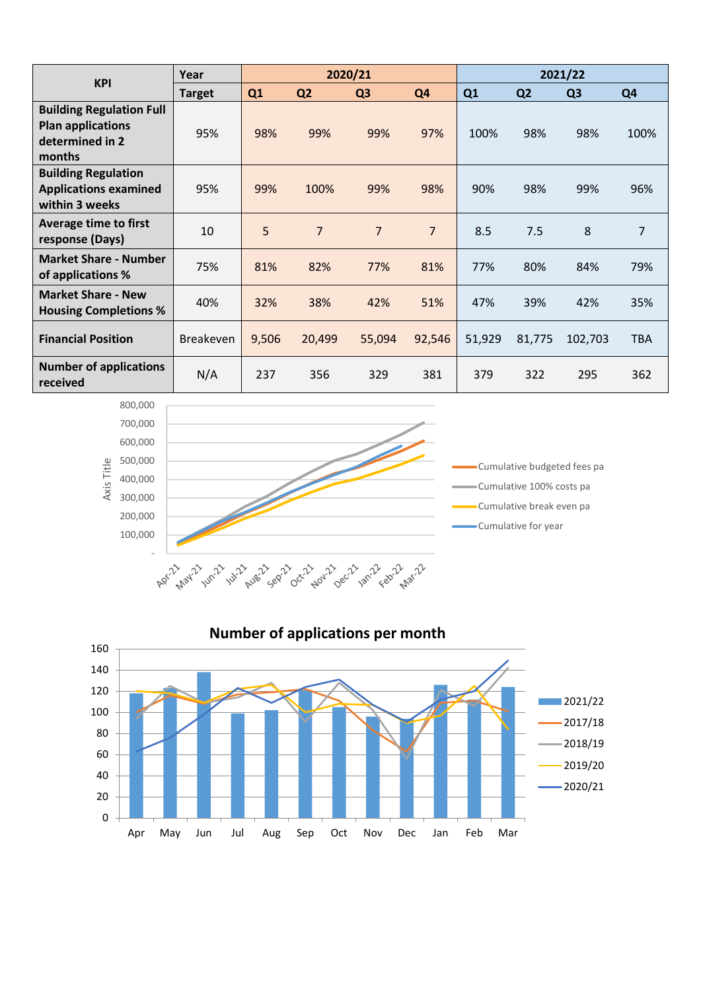| <b>KPI</b>                                                                               | Year             | 2020/21        |                |                |                | 2021/22 |                |                |                |
|------------------------------------------------------------------------------------------|------------------|----------------|----------------|----------------|----------------|---------|----------------|----------------|----------------|
|                                                                                          | <b>Target</b>    | Q <sub>1</sub> | Q <sub>2</sub> | Q <sub>3</sub> | Q <sub>4</sub> | Q1      | Q <sub>2</sub> | Q <sub>3</sub> | Q <sub>4</sub> |
| <b>Building Regulation Full</b><br><b>Plan applications</b><br>determined in 2<br>months | 95%              | 98%            | 99%            | 99%            | 97%            | 100%    | 98%            | 98%            | 100%           |
| <b>Building Regulation</b><br><b>Applications examined</b><br>within 3 weeks             | 95%              | 99%            | 100%           | 99%            | 98%            | 90%     | 98%            | 99%            | 96%            |
| <b>Average time to first</b><br>response (Days)                                          | 10               | 5              | $\overline{7}$ | $\overline{7}$ | $\overline{7}$ | 8.5     | 7.5            | 8              | $\overline{7}$ |
| <b>Market Share - Number</b><br>of applications %                                        | 75%              | 81%            | 82%            | 77%            | 81%            | 77%     | 80%            | 84%            | 79%            |
| <b>Market Share - New</b><br><b>Housing Completions %</b>                                | 40%              | 32%            | 38%            | 42%            | 51%            | 47%     | 39%            | 42%            | 35%            |
| <b>Financial Position</b>                                                                | <b>Breakeven</b> | 9,506          | 20,499         | 55,094         | 92,546         | 51,929  | 81,775         | 102,703        | <b>TBA</b>     |
| <b>Number of applications</b><br>received                                                | N/A              | 237            | 356            | 329            | 381            | 379     | 322            | 295            | 362            |



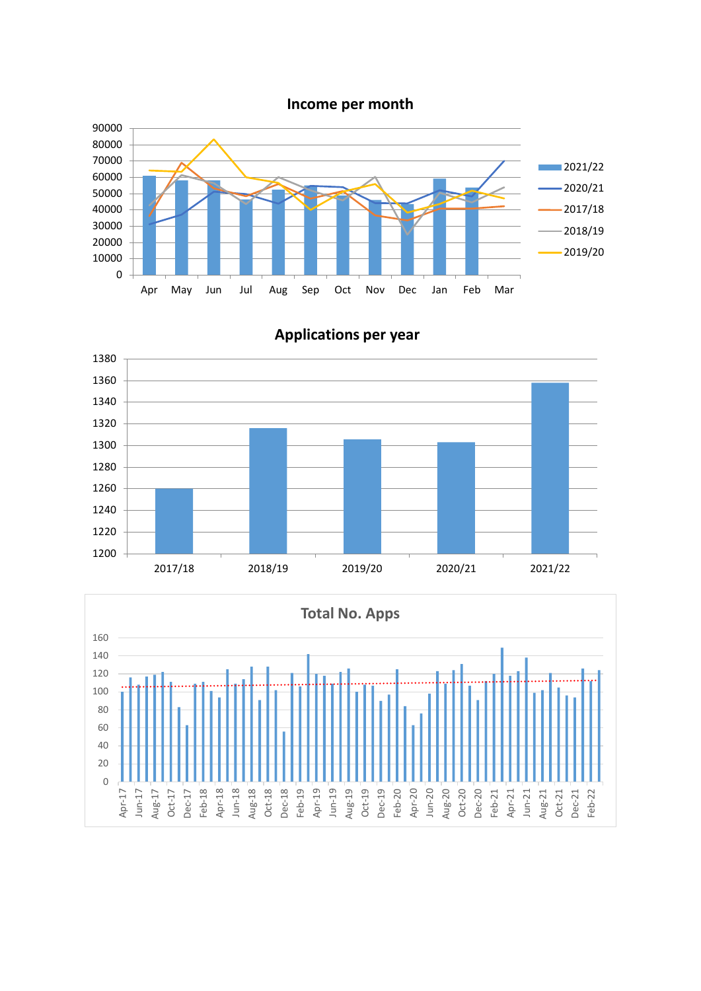**Income per month**





**Applications per year**